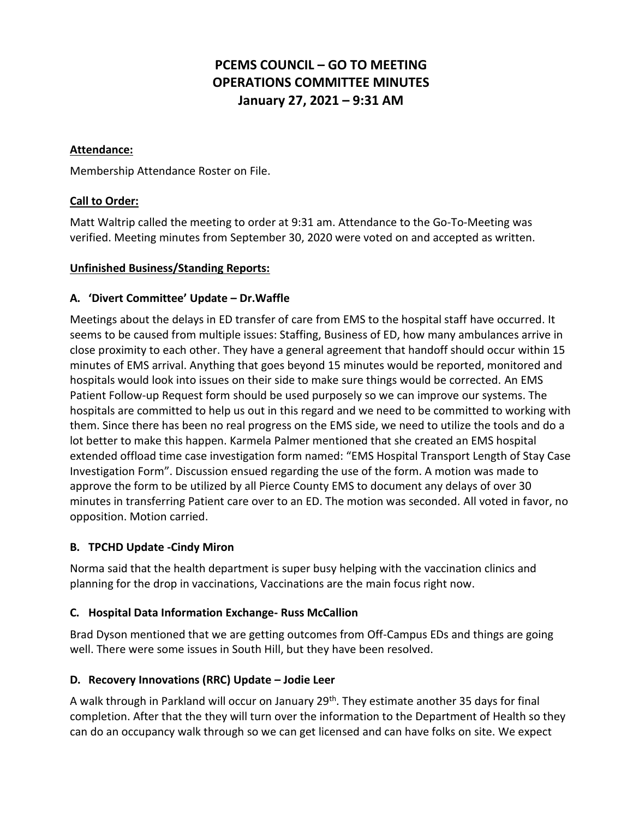# **PCEMS COUNCIL – GO TO MEETING OPERATIONS COMMITTEE MINUTES January 27, 2021 – 9:31 AM**

#### **Attendance:**

Membership Attendance Roster on File.

### **Call to Order:**

Matt Waltrip called the meeting to order at 9:31 am. Attendance to the Go-To-Meeting was verified. Meeting minutes from September 30, 2020 were voted on and accepted as written.

#### **Unfinished Business/Standing Reports:**

### **A. 'Divert Committee' Update – Dr.Waffle**

Meetings about the delays in ED transfer of care from EMS to the hospital staff have occurred. It seems to be caused from multiple issues: Staffing, Business of ED, how many ambulances arrive in close proximity to each other. They have a general agreement that handoff should occur within 15 minutes of EMS arrival. Anything that goes beyond 15 minutes would be reported, monitored and hospitals would look into issues on their side to make sure things would be corrected. An EMS Patient Follow-up Request form should be used purposely so we can improve our systems. The hospitals are committed to help us out in this regard and we need to be committed to working with them. Since there has been no real progress on the EMS side, we need to utilize the tools and do a lot better to make this happen. Karmela Palmer mentioned that she created an EMS hospital extended offload time case investigation form named: "EMS Hospital Transport Length of Stay Case Investigation Form". Discussion ensued regarding the use of the form. A motion was made to approve the form to be utilized by all Pierce County EMS to document any delays of over 30 minutes in transferring Patient care over to an ED. The motion was seconded. All voted in favor, no opposition. Motion carried.

### **B. TPCHD Update -Cindy Miron**

Norma said that the health department is super busy helping with the vaccination clinics and planning for the drop in vaccinations, Vaccinations are the main focus right now.

### **C. Hospital Data Information Exchange- Russ McCallion**

Brad Dyson mentioned that we are getting outcomes from Off-Campus EDs and things are going well. There were some issues in South Hill, but they have been resolved.

### **D. Recovery Innovations (RRC) Update – Jodie Leer**

A walk through in Parkland will occur on January 29<sup>th</sup>. They estimate another 35 days for final completion. After that the they will turn over the information to the Department of Health so they can do an occupancy walk through so we can get licensed and can have folks on site. We expect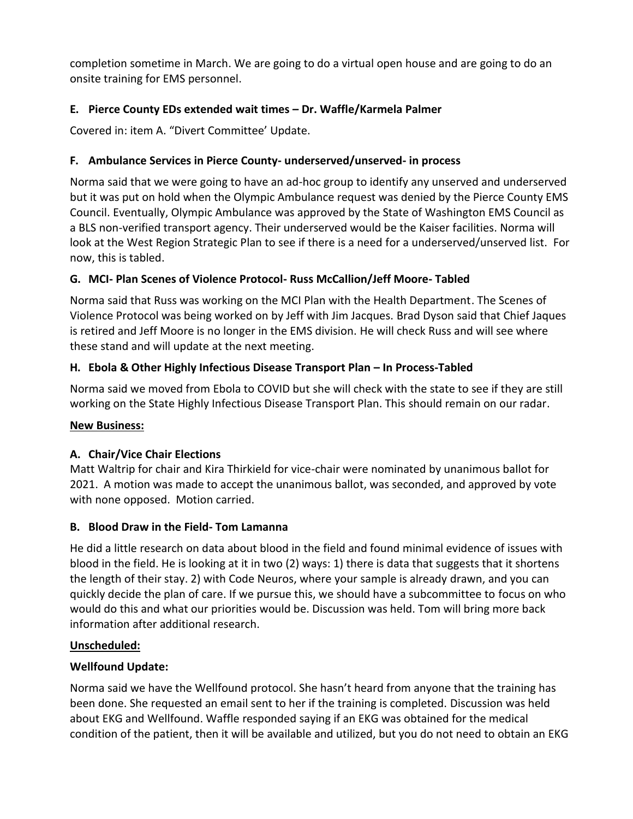completion sometime in March. We are going to do a virtual open house and are going to do an onsite training for EMS personnel.

# **E. Pierce County EDs extended wait times – Dr. Waffle/Karmela Palmer**

Covered in: item A. "Divert Committee' Update.

## **F. Ambulance Services in Pierce County- underserved/unserved- in process**

Norma said that we were going to have an ad-hoc group to identify any unserved and underserved but it was put on hold when the Olympic Ambulance request was denied by the Pierce County EMS Council. Eventually, Olympic Ambulance was approved by the State of Washington EMS Council as a BLS non-verified transport agency. Their underserved would be the Kaiser facilities. Norma will look at the West Region Strategic Plan to see if there is a need for a underserved/unserved list. For now, this is tabled.

## **G. MCI- Plan Scenes of Violence Protocol- Russ McCallion/Jeff Moore- Tabled**

Norma said that Russ was working on the MCI Plan with the Health Department. The Scenes of Violence Protocol was being worked on by Jeff with Jim Jacques. Brad Dyson said that Chief Jaques is retired and Jeff Moore is no longer in the EMS division. He will check Russ and will see where these stand and will update at the next meeting.

# **H. Ebola & Other Highly Infectious Disease Transport Plan – In Process-Tabled**

Norma said we moved from Ebola to COVID but she will check with the state to see if they are still working on the State Highly Infectious Disease Transport Plan. This should remain on our radar.

### **New Business:**

### **A. Chair/Vice Chair Elections**

Matt Waltrip for chair and Kira Thirkield for vice-chair were nominated by unanimous ballot for 2021. A motion was made to accept the unanimous ballot, was seconded, and approved by vote with none opposed. Motion carried.

### **B. Blood Draw in the Field- Tom Lamanna**

He did a little research on data about blood in the field and found minimal evidence of issues with blood in the field. He is looking at it in two (2) ways: 1) there is data that suggests that it shortens the length of their stay. 2) with Code Neuros, where your sample is already drawn, and you can quickly decide the plan of care. If we pursue this, we should have a subcommittee to focus on who would do this and what our priorities would be. Discussion was held. Tom will bring more back information after additional research.

### **Unscheduled:**

### **Wellfound Update:**

Norma said we have the Wellfound protocol. She hasn't heard from anyone that the training has been done. She requested an email sent to her if the training is completed. Discussion was held about EKG and Wellfound. Waffle responded saying if an EKG was obtained for the medical condition of the patient, then it will be available and utilized, but you do not need to obtain an EKG